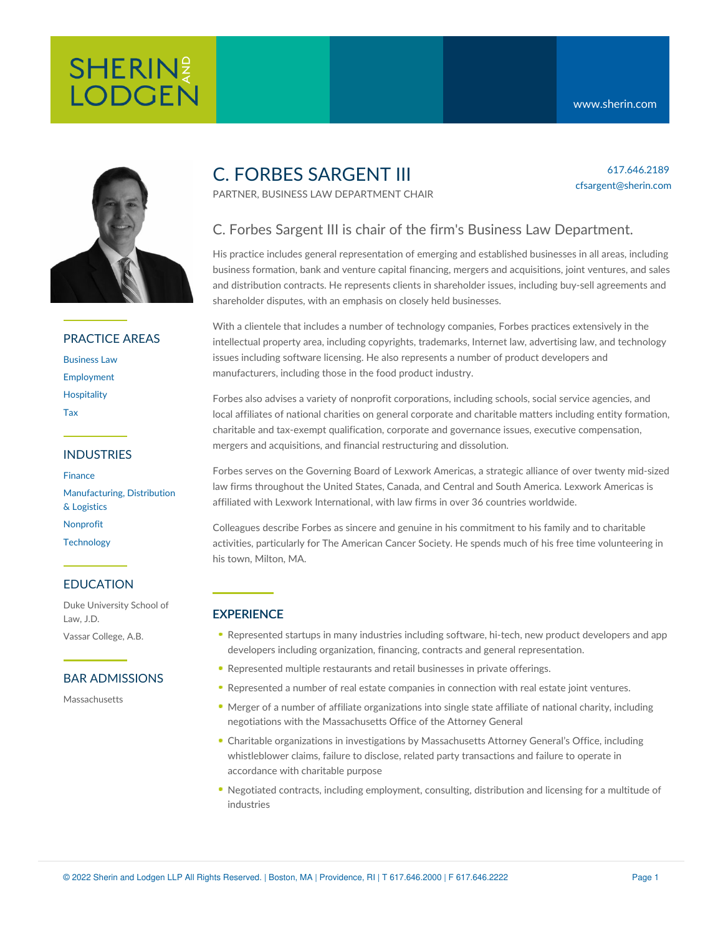# **SHERIN**<sup>2</sup> LODGEN

617.646.2189 cfsargent@sherin.com



## PRACTICE AREAS

[Business](https://www.sherin.com/practice-areas/business-law/) Law [Employment](https://www.sherin.com/practice-areas/employment/) **[Hospitality](https://www.sherin.com/practice-areas/hospitality/)** [Tax](https://www.sherin.com/practice-areas/business-law/tax/)

## INDUSTRIES

[Finance](https://www.sherin.com/industries/finance/) [Manufacturing,](https://www.sherin.com/industries/manufacturing-distribution-and-logistics/) Distribution & Logistics [Nonprofit](https://www.sherin.com/industries/nonprofit/) **[Technology](https://www.sherin.com/industries/technology/)** 

## EDUCATION

Duke University School of Law, J.D. Vassar College, A.B.

## BAR ADMISSIONS

Massachusetts

## C. FORBES SARGENT III

PARTNER, BUSINESS LAW DEPARTMENT CHAIR

## C. Forbes Sargent III is chair of the firm's Business Law Department.

His practice includes general representation of emerging and established businesses in all areas, including business formation, bank and venture capital financing, mergers and acquisitions, joint ventures, and sales and distribution contracts. He represents clients in shareholder issues, including buy-sell agreements and shareholder disputes, with an emphasis on closely held businesses.

With a clientele that includes a number of technology companies, Forbes practices extensively in the intellectual property area, including copyrights, trademarks, Internet law, advertising law, and technology issues including software licensing. He also represents a number of product developers and manufacturers, including those in the food product industry.

Forbes also advises a variety of nonprofit corporations, including schools, social service agencies, and local affiliates of national charities on general corporate and charitable matters including entity formation, charitable and tax-exempt qualification, corporate and governance issues, executive compensation, mergers and acquisitions, and financial restructuring and dissolution.

Forbes serves on the Governing Board of Lexwork Americas, a strategic alliance of over twenty mid-sized law firms throughout the United States, Canada, and Central and South America. Lexwork Americas is affiliated with Lexwork [International](https://www.sherin.com/?p=2224), with law firms in over 36 countries worldwide.

Colleagues describe Forbes as sincere and genuine in his commitment to his family and to charitable activities, particularly for The American Cancer Society. He spends much of his free time volunteering in his town, Milton, MA.

## **EXPERIENCE**

- Represented startups in many industries including software, hi-tech, new product developers and app developers including organization, financing, contracts and general representation.
- Represented multiple restaurants and retail businesses in private offerings.
- Represented a number of real estate companies in connection with real estate joint ventures.
- Merger of a number of affiliate organizations into single state affiliate of national charity, including negotiations with the Massachusetts Office of the Attorney General
- Charitable organizations in investigations by Massachusetts Attorney General's Office, including whistleblower claims, failure to disclose, related party transactions and failure to operate in accordance with charitable purpose
- Negotiated contracts, including employment, consulting, distribution and licensing for a multitude of industries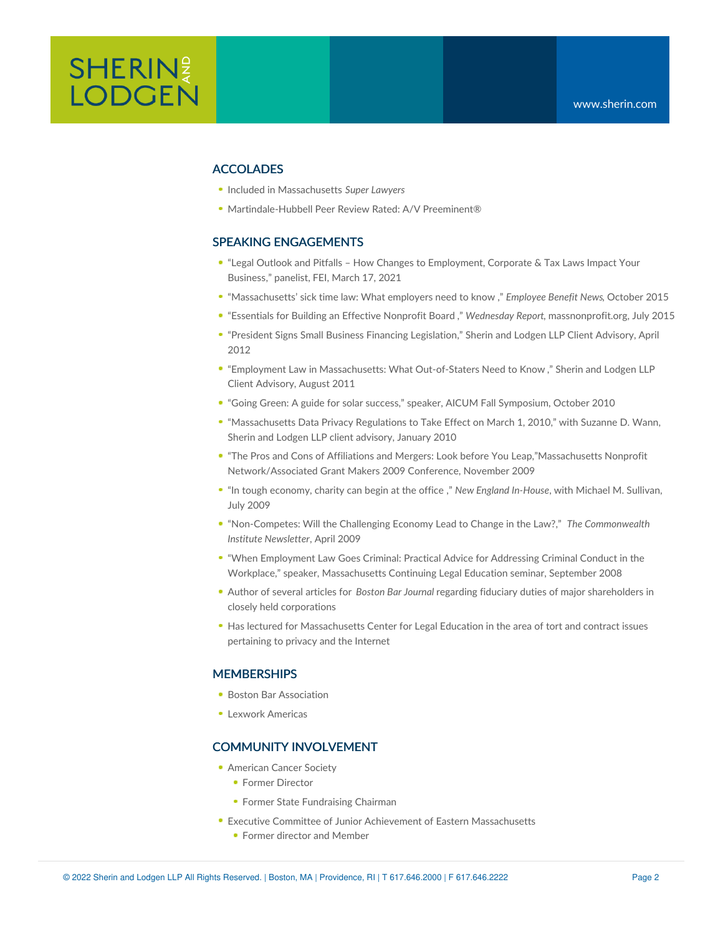## ACCOLADES

- Included in Massachusetts *Super Lawyers*
- Martindale-Hubbell Peer Review Rated: A/V Preeminent®

## SPEAKING ENGAGEMENTS

- "Legal Outlook and Pitfalls How Changes to [Employment,](https://www.feiboston.org/events/EventDetails.aspx?id=1487790) Corporate & Tax Laws Impact Your Business," panelist, FEI, March 17, 2021
- "[Massachusetts'](https://www.sherin.com/firm-news/scott-mcconchie-and-c-forbes-sargent-iii-published-an-article-for-employee-benefit-news-massachusetts-sick-time-law-what-employers-need-to-know/) sick time law: What employers need to know ," *Employee Benefit News*, October 2015
- "Essentials for Building an Effective [Nonprofit](http://www.massnonprofit.org/expert.php?artid=4168&catid=22) Board ," *Wednesday Report*, massnonprofit.org, July 2015
- "President Signs Small Business Financing Legislation," Sherin and Lodgen LLP Client Advisory, April 2012
- "Employment Law in [Massachusetts:](https://www.sherin.com/wp-content/uploads/sh_files/News/MHP%20Out%20of%20State1.pdf) What Out-of-Staters Need to Know ," Sherin and Lodgen LLP Client Advisory, August 2011
- "Going Green: A guide for solar success," speaker, AICUM Fall Symposium, October 2010
- "Massachusetts Data Privacy Regulations to Take Effect on March 1, 2010," with Suzanne D. Wann, Sherin and Lodgen LLP client advisory, January 2010
- "The Pros and Cons of Affiliations and Mergers: Look before You Leap,"Massachusetts Nonprofit Network/Associated Grant Makers 2009 Conference, November 2009
- "In tough [economy,](http://newenglandinhouse.com/2009/07/31/in-tough-economy-charity-can-begin-at-the-office/) charity can begin at the office ," *New England In-House*, with Michael M. Sullivan, July 2009
- "Non-Competes: Will the Challenging Economy Lead to Change in the Law?," *The Commonwealth Institute Newsletter*, April 2009
- "When Employment Law Goes Criminal: Practical Advice for Addressing Criminal Conduct in the Workplace," speaker, Massachusetts Continuing Legal Education seminar, September 2008
- Author of several articles for *Boston Bar Journal* regarding fiduciary duties of major shareholders in closely held corporations
- Has lectured for Massachusetts Center for Legal Education in the area of tort and contract issues pertaining to privacy and the Internet

#### **MEMBERSHIPS**

- **Boston Bar [Association](http://www.bostonbar.org/)**
- **· Lexwork Americas**

### COMMUNITY INVOLVEMENT

- **American Cancer Society** 
	- **Former Director**
	- **Former State Fundraising Chairman**
- Executive Committee of Junior Achievement of Eastern Massachusetts
	- Former director and Member